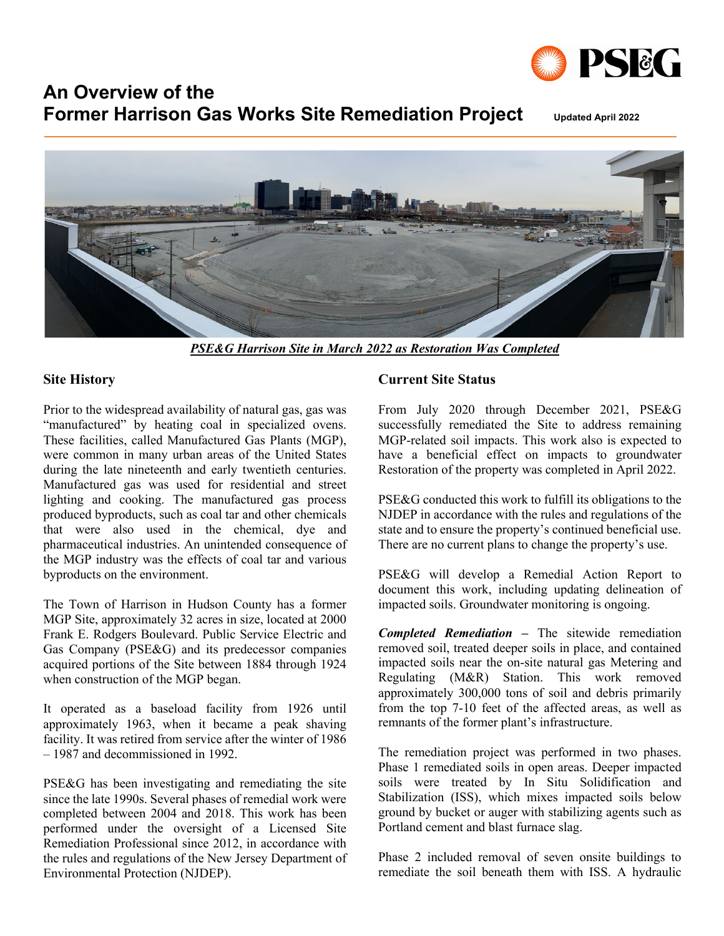

# **An Overview of the Former Harrison Gas Works Site Remediation Project Updated April <sup>2022</sup>**



*PSE&G Harrison Site in March 2022 as Restoration Was Completed*

## **Site History**

Prior to the widespread availability of natural gas, gas was "manufactured" by heating coal in specialized ovens. These facilities, called Manufactured Gas Plants (MGP), were common in many urban areas of the United States during the late nineteenth and early twentieth centuries. Manufactured gas was used for residential and street lighting and cooking. The manufactured gas process produced byproducts, such as coal tar and other chemicals that were also used in the chemical, dye and pharmaceutical industries. An unintended consequence of the MGP industry was the effects of coal tar and various byproducts on the environment.

The Town of Harrison in Hudson County has a former MGP Site, approximately 32 acres in size, located at 2000 Frank E. Rodgers Boulevard. Public Service Electric and Gas Company (PSE&G) and its predecessor companies acquired portions of the Site between 1884 through 1924 when construction of the MGP began.

It operated as a baseload facility from 1926 until approximately 1963, when it became a peak shaving facility. It was retired from service after the winter of 1986 – 1987 and decommissioned in 1992.

PSE&G has been investigating and remediating the site since the late 1990s. Several phases of remedial work were completed between 2004 and 2018. This work has been performed under the oversight of a Licensed Site Remediation Professional since 2012, in accordance with the rules and regulations of the New Jersey Department of Environmental Protection (NJDEP).

## **Current Site Status**

From July 2020 through December 2021, PSE&G successfully remediated the Site to address remaining MGP-related soil impacts. This work also is expected to have a beneficial effect on impacts to groundwater Restoration of the property was completed in April 2022.

PSE&G conducted this work to fulfill its obligations to the NJDEP in accordance with the rules and regulations of the state and to ensure the property's continued beneficial use. There are no current plans to change the property's use.

PSE&G will develop a Remedial Action Report to document this work, including updating delineation of impacted soils. Groundwater monitoring is ongoing.

*Completed Remediation –* The sitewide remediation removed soil, treated deeper soils in place, and contained impacted soils near the on-site natural gas Metering and Regulating (M&R) Station. This work removed approximately 300,000 tons of soil and debris primarily from the top 7-10 feet of the affected areas, as well as remnants of the former plant's infrastructure.

The remediation project was performed in two phases. Phase 1 remediated soils in open areas. Deeper impacted soils were treated by In Situ Solidification and Stabilization (ISS), which mixes impacted soils below ground by bucket or auger with stabilizing agents such as Portland cement and blast furnace slag.

Phase 2 included removal of seven onsite buildings to remediate the soil beneath them with ISS. A hydraulic